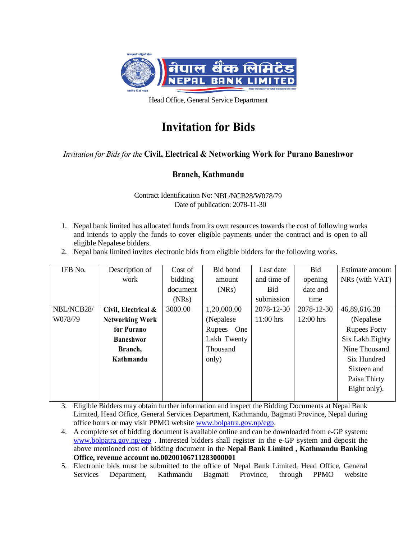

Head Office, General Service Department

## **Invitation for Bids**

## *Invitation for Bids for the* **Civil, Electrical & Networking Work for Purano Baneshwor**

## **Branch, Kathmandu**

Contract Identification No: NBL/NCB28/W078/79 Date of publication: 2078-11-30

- 1. Nepal bank limited has allocated funds from its own resources towards the cost of following works and intends to apply the funds to cover eligible payments under the contract and is open to all eligible Nepalese bidders.
- 2. Nepal bank limited invites electronic bids from eligible bidders for the following works.

| IFB No.    | Description of         | Cost of  | Bid bond      | Last date   | Bid         | Estimate amount     |
|------------|------------------------|----------|---------------|-------------|-------------|---------------------|
|            | work                   | bidding  | amount        | and time of | opening     | NRs (with VAT)      |
|            |                        | document | (NRs)         | <b>Bid</b>  | date and    |                     |
|            |                        | (NRs)    |               | submission  | time        |                     |
| NBL/NCB28/ | Civil, Electrical &    | 3000.00  | 1,20,000.00   | 2078-12-30  | 2078-12-30  | 46,89,616.38        |
| W078/79    | <b>Networking Work</b> |          | (Nepalese)    | $11:00$ hrs | $12:00$ hrs | (Nepalese           |
|            | for Purano             |          | One<br>Rupees |             |             | <b>Rupees Forty</b> |
|            | <b>Baneshwor</b>       |          | Lakh Twenty   |             |             | Six Lakh Eighty     |
|            | Branch,                |          | Thousand      |             |             | Nine Thousand       |
|            | Kathmandu              |          | only)         |             |             | Six Hundred         |
|            |                        |          |               |             |             | Sixteen and         |
|            |                        |          |               |             |             | Paisa Thirty        |
|            |                        |          |               |             |             | Eight only).        |
|            |                        |          |               |             |             |                     |

3. Eligible Bidders may obtain further information and inspect the Bidding Documents at Nepal Bank Limited, Head Office, General Services Department, Kathmandu, Bagmati Province, Nepal during office hours or may visit PPMO website [www.bolpatra.gov.np/egp.](http://www.bolpatra.gov.np/egp)

- 4. A complete set of bidding document is available online and can be downloaded from e-GP system: [www.bolpatra.gov.np/egp](http://www.bolpatra.gov.np/egp) . Interested bidders shall register in the e-GP system and deposit the above mentioned cost of bidding document in the **Nepal Bank Limited , Kathmandu Banking Office, revenue account no.00200106711283000001**
- 5. Electronic bids must be submitted to the office of Nepal Bank Limited, Head Office, General Services Department, Kathmandu Bagmati Province, through PPMO website